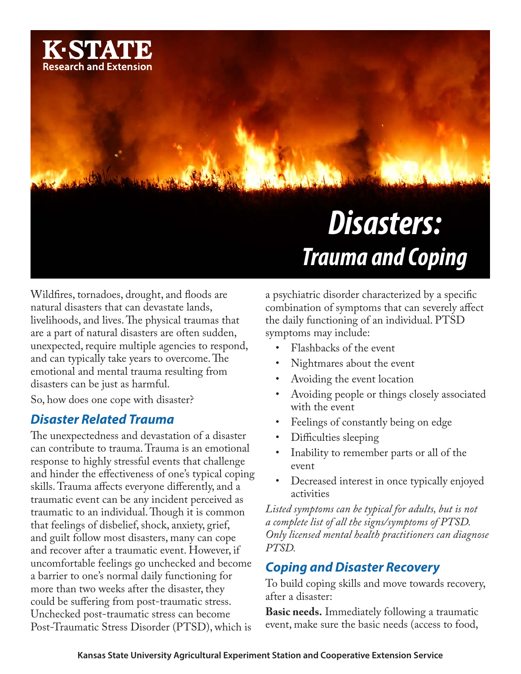

Wildfires, tornadoes, drought, and floods are natural disasters that can devastate lands, livelihoods, and lives. The physical traumas that are a part of natural disasters are often sudden, unexpected, require multiple agencies to respond, and can typically take years to overcome. The emotional and mental trauma resulting from disasters can be just as harmful.

So, how does one cope with disaster?

## *Disaster Related Trauma*

The unexpectedness and devastation of a disaster can contribute to trauma. Trauma is an emotional response to highly stressful events that challenge and hinder the effectiveness of one's typical coping skills. Trauma affects everyone differently, and a traumatic event can be any incident perceived as traumatic to an individual. Though it is common that feelings of disbelief, shock, anxiety, grief, and guilt follow most disasters, many can cope and recover after a traumatic event. However, if uncomfortable feelings go unchecked and become a barrier to one's normal daily functioning for more than two weeks after the disaster, they could be suffering from post-traumatic stress. Unchecked post-traumatic stress can become Post-Traumatic Stress Disorder (PTSD), which is

a psychiatric disorder characterized by a specific combination of symptoms that can severely affect the daily functioning of an individual. PTSD symptoms may include:

- Flashbacks of the event
- Nightmares about the event
- Avoiding the event location
- Avoiding people or things closely associated with the event
- Feelings of constantly being on edge
- Difficulties sleeping
- Inability to remember parts or all of the event
- Decreased interest in once typically enjoyed activities

*Listed symptoms can be typical for adults, but is not a complete list of all the signs/symptoms of PTSD. Only licensed mental health practitioners can diagnose PTSD.*

## *Coping and Disaster Recovery*

To build coping skills and move towards recovery, after a disaster:

**Basic needs.** Immediately following a traumatic event, make sure the basic needs (access to food,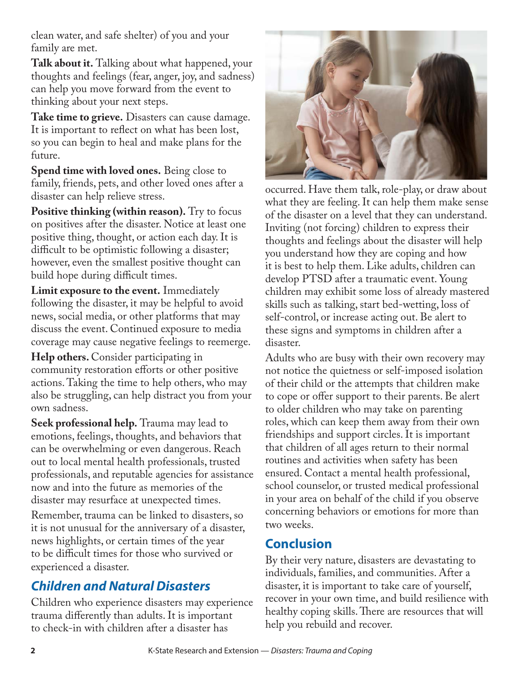clean water, and safe shelter) of you and your family are met.

**Talk about it.** Talking about what happened, your thoughts and feelings (fear, anger, joy, and sadness) can help you move forward from the event to thinking about your next steps.

**Take time to grieve.** Disasters can cause damage. It is important to reflect on what has been lost, so you can begin to heal and make plans for the future.

**Spend time with loved ones.** Being close to family, friends, pets, and other loved ones after a disaster can help relieve stress.

**Positive thinking (within reason).** Try to focus on positives after the disaster. Notice at least one positive thing, thought, or action each day. It is difficult to be optimistic following a disaster; however, even the smallest positive thought can build hope during difficult times.

**Limit exposure to the event.** Immediately following the disaster, it may be helpful to avoid news, social media, or other platforms that may discuss the event. Continued exposure to media coverage may cause negative feelings to reemerge.

**Help others.** Consider participating in community restoration efforts or other positive actions. Taking the time to help others, who may also be struggling, can help distract you from your own sadness.

**Seek professional help.** Trauma may lead to emotions, feelings, thoughts, and behaviors that can be overwhelming or even dangerous. Reach out to local mental health professionals, trusted professionals, and reputable agencies for assistance now and into the future as memories of the disaster may resurface at unexpected times.

Remember, trauma can be linked to disasters, so it is not unusual for the anniversary of a disaster, news highlights, or certain times of the year to be difficult times for those who survived or experienced a disaster.

# *Children and Natural Disasters*

Children who experience disasters may experience trauma differently than adults. It is important to check-in with children after a disaster has



occurred. Have them talk, role-play, or draw about what they are feeling. It can help them make sense of the disaster on a level that they can understand. Inviting (not forcing) children to express their thoughts and feelings about the disaster will help you understand how they are coping and how it is best to help them. Like adults, children can develop PTSD after a traumatic event. Young children may exhibit some loss of already mastered skills such as talking, start bed-wetting, loss of self-control, or increase acting out. Be alert to these signs and symptoms in children after a disaster.

Adults who are busy with their own recovery may not notice the quietness or self-imposed isolation of their child or the attempts that children make to cope or offer support to their parents. Be alert to older children who may take on parenting roles, which can keep them away from their own friendships and support circles. It is important that children of all ages return to their normal routines and activities when safety has been ensured. Contact a mental health professional, school counselor, or trusted medical professional in your area on behalf of the child if you observe concerning behaviors or emotions for more than two weeks.

# **Conclusion**

By their very nature, disasters are devastating to individuals, families, and communities. After a disaster, it is important to take care of yourself, recover in your own time, and build resilience with healthy coping skills. There are resources that will help you rebuild and recover.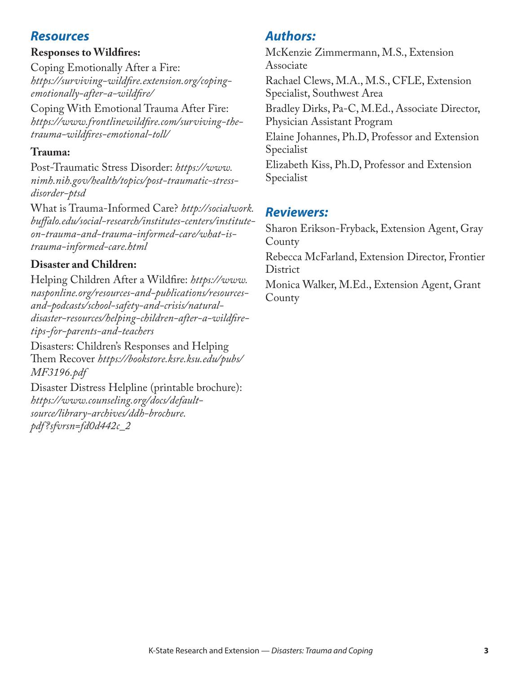## *Resources*

#### **Responses to Wildfires:**

Coping Emotionally After a Fire: *[https://surviving-wildfire.extension.org/coping](https://surviving-wildfire.extension.org/coping-emotionally-after-a-wildfire/)[emotionally-after-a-wildfire/](https://surviving-wildfire.extension.org/coping-emotionally-after-a-wildfire/)*

Coping With Emotional Trauma After Fire: *[https://www.frontlinewildfire.com/surviving-the](https://www.frontlinewildfire.com/surviving-the-trauma-wildfires-emotional-toll/)[trauma-wildfires-emotional-toll/](https://www.frontlinewildfire.com/surviving-the-trauma-wildfires-emotional-toll/)*

#### **Trauma:**

Post-Traumatic Stress Disorder: *[https://www.](https://www.nimh.nih.gov/health/topics/post-traumatic-stress-disorder-ptsd) [nimh.nih.gov/health/topics/post-traumatic-stress](https://www.nimh.nih.gov/health/topics/post-traumatic-stress-disorder-ptsd)[disorder-ptsd](https://www.nimh.nih.gov/health/topics/post-traumatic-stress-disorder-ptsd)*

What is Trauma-Informed Care? *[http://socialwork.](http://socialwork.buffalo.edu/social-research/institutes-centers/institute-on-trauma-and-trauma-informed-care/what-is-trauma-informed-care.html) [buffalo.edu/social-research/institutes-centers/institute](http://socialwork.buffalo.edu/social-research/institutes-centers/institute-on-trauma-and-trauma-informed-care/what-is-trauma-informed-care.html)[on-trauma-and-trauma-informed-care/what-is](http://socialwork.buffalo.edu/social-research/institutes-centers/institute-on-trauma-and-trauma-informed-care/what-is-trauma-informed-care.html)[trauma-informed-care.html](http://socialwork.buffalo.edu/social-research/institutes-centers/institute-on-trauma-and-trauma-informed-care/what-is-trauma-informed-care.html)*

## **Disaster and Children:**

Helping Children After a Wildfire: *[https://www.](https://www.nasponline.org/resources-and-publications/resources-and-podcasts/school-safety-and-crisis/natural-disaster-resources/helping-children-after-a-wildfire-tips-for-parents-and-teachers) [nasponline.org/resources-and-publications/resources](https://www.nasponline.org/resources-and-publications/resources-and-podcasts/school-safety-and-crisis/natural-disaster-resources/helping-children-after-a-wildfire-tips-for-parents-and-teachers)[and-podcasts/school-safety-and-crisis/natural](https://www.nasponline.org/resources-and-publications/resources-and-podcasts/school-safety-and-crisis/natural-disaster-resources/helping-children-after-a-wildfire-tips-for-parents-and-teachers)[disaster-resources/helping-children-after-a-wildfire](https://www.nasponline.org/resources-and-publications/resources-and-podcasts/school-safety-and-crisis/natural-disaster-resources/helping-children-after-a-wildfire-tips-for-parents-and-teachers)[tips-for-parents-and-teachers](https://www.nasponline.org/resources-and-publications/resources-and-podcasts/school-safety-and-crisis/natural-disaster-resources/helping-children-after-a-wildfire-tips-for-parents-and-teachers)*

Disasters: Children's Responses and Helping Them Recover *[https://bookstore.ksre.ksu.edu/pubs/](https://bookstore.ksre.ksu.edu/pubs/MF3196.pdf) [MF3196.pdf](https://bookstore.ksre.ksu.edu/pubs/MF3196.pdf)* 

Disaster Distress Helpline (printable brochure): *[https://www.counseling.org/docs/default](https://www.counseling.org/docs/default-source/library-archives/ddh-brochure.pdf?sfvrsn=fd0d442c_2)[source/library-archives/ddh-brochure.](https://www.counseling.org/docs/default-source/library-archives/ddh-brochure.pdf?sfvrsn=fd0d442c_2) [pdf?sfvrsn=fd0d442c\\_2](https://www.counseling.org/docs/default-source/library-archives/ddh-brochure.pdf?sfvrsn=fd0d442c_2)*

# *Authors:*

McKenzie Zimmermann, M.S., Extension Associate Rachael Clews, M.A., M.S., CFLE, Extension Specialist, Southwest Area Bradley Dirks, Pa-C, M.Ed., Associate Director, Physician Assistant Program Elaine Johannes, Ph.D, Professor and Extension Specialist Elizabeth Kiss, Ph.D, Professor and Extension Specialist

# *Reviewers:*

Sharon Erikson-Fryback, Extension Agent, Gray County

Rebecca McFarland, Extension Director, Frontier **District** 

Monica Walker, M.Ed., Extension Agent, Grant **County**